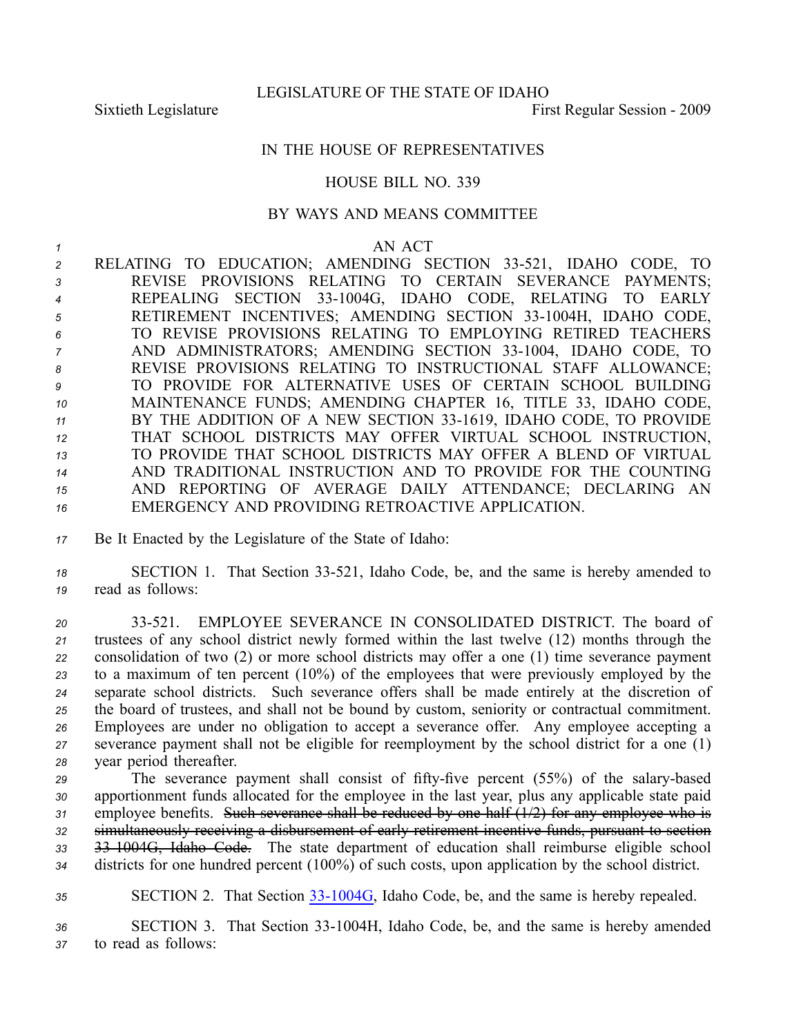LEGISLATURE OF THE STATE OF IDAHO

Sixtieth Legislature First Regular Session - 2009

## IN THE HOUSE OF REPRESENTATIVES

## HOUSE BILL NO. 339

## BY WAYS AND MEANS COMMITTEE

## *1* AN ACT

2 RELATING TO EDUCATION; AMENDING SECTION 33-521, IDAHO CODE, TO REVISE PROVISIONS RELATING TO CERTAIN SEVERANCE PAYMENTS; REPEALING SECTION 331004G, IDAHO CODE, RELATING TO EARLY 5 RETIREMENT INCENTIVES; AMENDING SECTION 33-1004H, IDAHO CODE, TO REVISE PROVISIONS RELATING TO EMPLOYING RETIRED TEACHERS AND ADMINISTRATORS; AMENDING SECTION 33-1004, IDAHO CODE, TO REVISE PROVISIONS RELATING TO INSTRUCTIONAL STAFF ALLOWANCE; TO PROVIDE FOR ALTERNATIVE USES OF CERTAIN SCHOOL BUILDING MAINTENANCE FUNDS; AMENDING CHAPTER 16, TITLE 33, IDAHO CODE, BY THE ADDITION OF A NEW SECTION 331619, IDAHO CODE, TO PROVIDE THAT SCHOOL DISTRICTS MAY OFFER VIRTUAL SCHOOL INSTRUCTION, TO PROVIDE THAT SCHOOL DISTRICTS MAY OFFER A BLEND OF VIRTUAL AND TRADITIONAL INSTRUCTION AND TO PROVIDE FOR THE COUNTING AND REPORTING OF AVERAGE DAILY ATTENDANCE; DECLARING AN EMERGENCY AND PROVIDING RETROACTIVE APPLICATION.

*<sup>17</sup>* Be It Enacted by the Legislature of the State of Idaho:

*<sup>18</sup>* SECTION 1. That Section 33521, Idaho Code, be, and the same is hereby amended to *<sup>19</sup>* read as follows:

 33521. EMPLOYEE SEVERANCE IN CONSOLIDATED DISTRICT. The board of trustees of any school district newly formed within the last twelve (12) months through the consolidation of two (2) or more school districts may offer <sup>a</sup> one (1) time severance paymen<sup>t</sup> to <sup>a</sup> maximum of ten percen<sup>t</sup> (10%) of the employees that were previously employed by the separate school districts. Such severance offers shall be made entirely at the discretion of the board of trustees, and shall not be bound by custom, seniority or contractual commitment. Employees are under no obligation to accep<sup>t</sup> <sup>a</sup> severance offer. Any employee accepting <sup>a</sup> severance paymen<sup>t</sup> shall not be eligible for reemployment by the school district for <sup>a</sup> one (1) year period thereafter.

29 The severance payment shall consist of fifty-five percent (55%) of the salary-based apportionment funds allocated for the employee in the last year, plus any applicable state paid 31 employee benefits. Such severance shall be reduced by one half (1/2) for any employee who is simultaneously receiving <sup>a</sup> disbursement of early retirement incentive funds, pursuan<sup>t</sup> to section 331004G, Idaho Code. The state department of education shall reimburse eligible school districts for one hundred percen<sup>t</sup> (100%) of such costs, upon application by the school district.

35 SECTION 2. That Section 33-1004G, Idaho Code, be, and the same is hereby repealed.

36 SECTION 3. That Section 33-1004H, Idaho Code, be, and the same is hereby amended *<sup>37</sup>* to read as follows: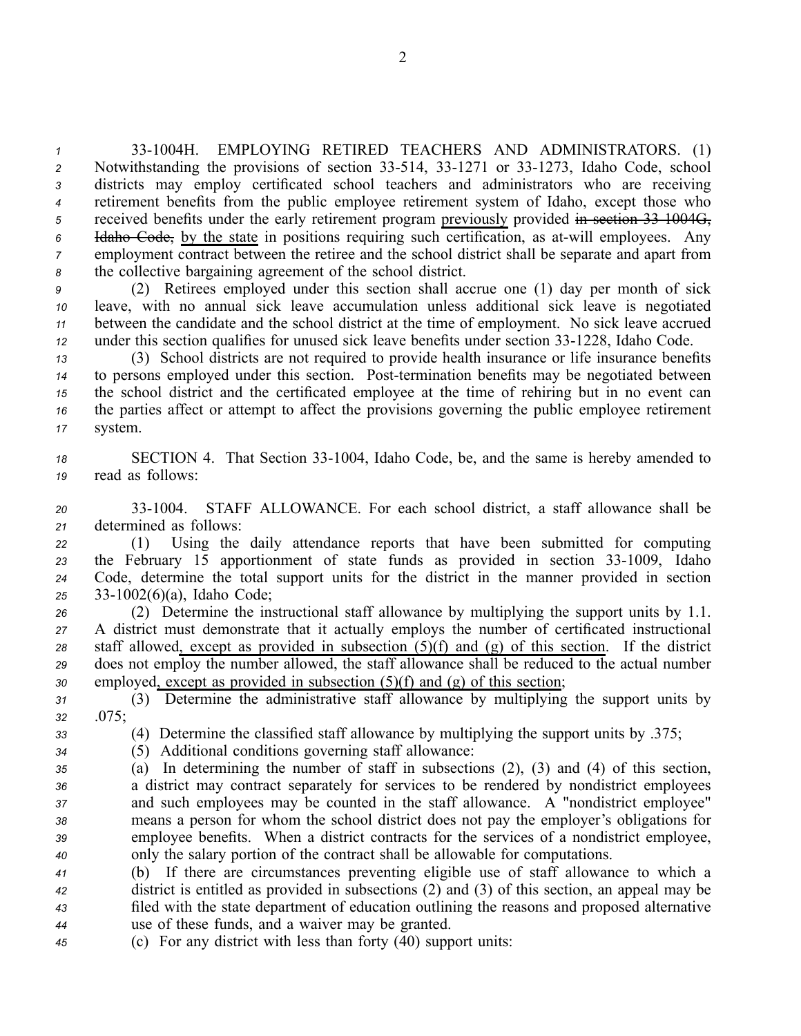331004H. EMPLOYING RETIRED TEACHERS AND ADMINISTRATORS. (1) 2 Notwithstanding the provisions of section 33-514, 33-1271 or 33-1273, Idaho Code, school districts may employ certificated school teachers and administrators who are receiving retirement benefits from the public employee retirement system of Idaho, excep<sup>t</sup> those who received benefits under the early retirement program previously provided in section 33-1004G, Idaho Code, by the state in positions requiring such certification, as atwill employees. Any employment contract between the retiree and the school district shall be separate and apar<sup>t</sup> from the collective bargaining agreemen<sup>t</sup> of the school district.

 (2) Retirees employed under this section shall accrue one (1) day per month of sick leave, with no annual sick leave accumulation unless additional sick leave is negotiated between the candidate and the school district at the time of employment. No sick leave accrued under this section qualifies for unused sick leave benefits under section 33-1228, Idaho Code.

 (3) School districts are not required to provide health insurance or life insurance benefits to persons employed under this section. Post-termination benefits may be negotiated between the school district and the certificated employee at the time of rehiring but in no event can the parties affect or attempt to affect the provisions governing the public employee retirement *<sup>17</sup>* system.

18 SECTION 4. That Section 33-1004, Idaho Code, be, and the same is hereby amended to *<sup>19</sup>* read as follows:

*<sup>20</sup>* 331004. STAFF ALLOWANCE. For each school district, <sup>a</sup> staff allowance shall be *<sup>21</sup>* determined as follows:

 (1) Using the daily attendance reports that have been submitted for computing 23 the February 15 apportionment of state funds as provided in section 33-1009, Idaho Code, determine the total suppor<sup>t</sup> units for the district in the manner provided in section 331002(6)(a), Idaho Code;

 (2) Determine the instructional staff allowance by multiplying the suppor<sup>t</sup> units by 1.1. A district must demonstrate that it actually employs the number of certificated instructional staff allowed, excep<sup>t</sup> as provided in subsection (5)(f) and (g) of this section. If the district does not employ the number allowed, the staff allowance shall be reduced to the actual number employed, excep<sup>t</sup> as provided in subsection (5)(f) and (g) of this section;

*<sup>31</sup>* (3) Determine the administrative staff allowance by multiplying the suppor<sup>t</sup> units by *<sup>32</sup>* .075;

*<sup>33</sup>* (4) Determine the classified staff allowance by multiplying the suppor<sup>t</sup> units by .375;

- *<sup>34</sup>* (5) Additional conditions governing staff allowance:
- 

 (a) In determining the number of staff in subsections (2), (3) and (4) of this section, <sup>a</sup> district may contract separately for services to be rendered by nondistrict employees and such employees may be counted in the staff allowance. A "nondistrict employee" means <sup>a</sup> person for whom the school district does not pay the employer's obligations for employee benefits. When <sup>a</sup> district contracts for the services of <sup>a</sup> nondistrict employee, only the salary portion of the contract shall be allowable for computations.

 (b) If there are circumstances preventing eligible use of staff allowance to which <sup>a</sup> district is entitled as provided in subsections (2) and (3) of this section, an appeal may be filed with the state department of education outlining the reasons and proposed alternative use of these funds, and <sup>a</sup> waiver may be granted.

*<sup>45</sup>* (c) For any district with less than forty (40) suppor<sup>t</sup> units: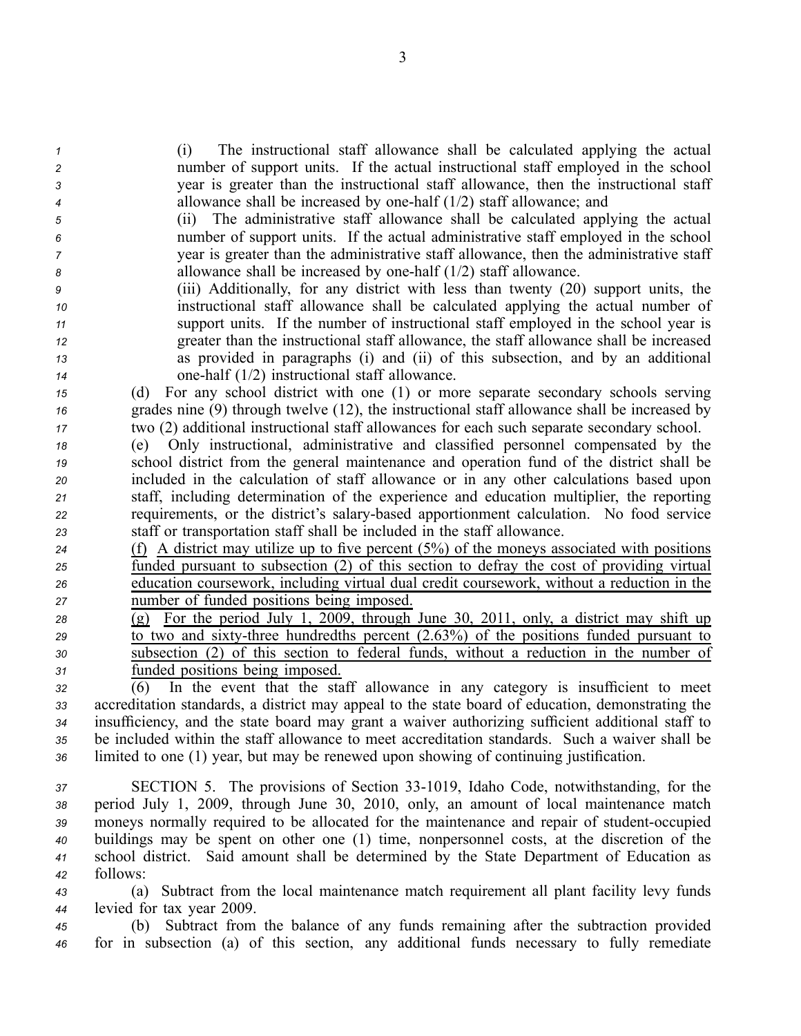(i) The instructional staff allowance shall be calculated applying the actual number of suppor<sup>t</sup> units. If the actual instructional staff employed in the school year is greater than the instructional staff allowance, then the instructional staff allowance shall be increased by onehalf (1/2) staff allowance; and

 (ii) The administrative staff allowance shall be calculated applying the actual number of suppor<sup>t</sup> units. If the actual administrative staff employed in the school year is greater than the administrative staff allowance, then the administrative staff allowance shall be increased by onehalf (1/2) staff allowance.

 (iii) Additionally, for any district with less than twenty (20) suppor<sup>t</sup> units, the instructional staff allowance shall be calculated applying the actual number of suppor<sup>t</sup> units. If the number of instructional staff employed in the school year is greater than the instructional staff allowance, the staff allowance shall be increased as provided in paragraphs (i) and (ii) of this subsection, and by an additional onehalf (1/2) instructional staff allowance.

*<sup>15</sup>* (d) For any school district with one (1) or more separate secondary schools serving *<sup>16</sup>* grades nine (9) through twelve (12), the instructional staff allowance shall be increased by *<sup>17</sup>* two (2) additional instructional staff allowances for each such separate secondary school.

 (e) Only instructional, administrative and classified personnel compensated by the school district from the general maintenance and operation fund of the district shall be included in the calculation of staff allowance or in any other calculations based upon staff, including determination of the experience and education multiplier, the reporting requirements, or the district's salarybased apportionment calculation. No food service staff or transportation staff shall be included in the staff allowance.

 (f) A district may utilize up to five percen<sup>t</sup> (5%) of the moneys associated with positions funded pursuan<sup>t</sup> to subsection (2) of this section to defray the cost of providing virtual education coursework, including virtual dual credit coursework, without <sup>a</sup> reduction in the number of funded positions being imposed.

 (g) For the period July 1, 2009, through June 30, 2011, only, <sup>a</sup> district may shift up to two and sixty-three hundredths percent (2.63%) of the positions funded pursuant to subsection (2) of this section to federal funds, without <sup>a</sup> reduction in the number of funded positions being imposed.

 (6) In the event that the staff allowance in any category is insufficient to meet accreditation standards, <sup>a</sup> district may appeal to the state board of education, demonstrating the insufficiency, and the state board may gran<sup>t</sup> <sup>a</sup> waiver authorizing sufficient additional staff to be included within the staff allowance to meet accreditation standards. Such <sup>a</sup> waiver shall be limited to one (1) year, but may be renewed upon showing of continuing justification.

 SECTION 5. The provisions of Section 331019, Idaho Code, notwithstanding, for the period July 1, 2009, through June 30, 2010, only, an amount of local maintenance match 39 moneys normally required to be allocated for the maintenance and repair of student-occupied buildings may be spen<sup>t</sup> on other one (1) time, nonpersonnel costs, at the discretion of the school district. Said amount shall be determined by the State Department of Education as *<sup>42</sup>* follows:

*<sup>43</sup>* (a) Subtract from the local maintenance match requirement all plant facility levy funds *<sup>44</sup>* levied for tax year 2009.

*<sup>45</sup>* (b) Subtract from the balance of any funds remaining after the subtraction provided *<sup>46</sup>* for in subsection (a) of this section, any additional funds necessary to fully remediate